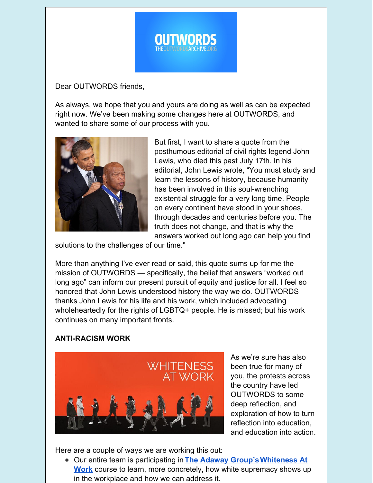

Dear OUTWORDS friends,

As always, we hope that you and yours are doing as well as can be expected right now. We've been making some changes here at OUTWORDS, and wanted to share some of our process with you.



But first, I want to share a quote from the posthumous editorial of civil rights legend John Lewis, who died this past July 17th. In his editorial, John Lewis wrote, "You must study and learn the lessons of history, because humanity has been involved in this soul-wrenching existential struggle for a very long time. People on every continent have stood in your shoes, through decades and centuries before you. The truth does not change, and that is why the answers worked out long ago can help you find

solutions to the challenges of our time."

More than anything I've ever read or said, this quote sums up for me the mission of OUTWORDS — specifically, the belief that answers "worked out long ago" can inform our present pursuit of equity and justice for all. I feel so honored that John Lewis understood history the way we do. OUTWORDS thanks John Lewis for his life and his work, which included advocating wholeheartedly for the rights of LGBTQ+ people. He is missed; but his work continues on many important fronts.

## **ANTI-RACISM WORK**



As we're sure has also been true for many of you, the protests across the country have led OUTWORDS to some deep reflection, and exploration of how to turn reflection into education, and education into action.

Here are a couple of ways we are working this out:

Our entire team is participating in **The [Adaway](https://adawaygroup.com/) [Group'sWhiteness](https://www.whitenessatwork.com/) At Work** course to learn, more concretely, how white supremacy shows up in the workplace and how we can address it.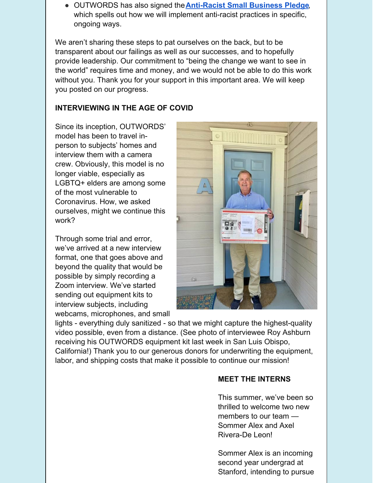OUTWORDS has also signed the**[Anti-Racist](https://mk0hellosevencogaqta.kinstacdn.com/wp-content/uploads/2020/06/Small-Business-Pledge-1.pdf) Small Business Pledge**, which spells out how we will implement anti-racist practices in specific, ongoing ways.

We aren't sharing these steps to pat ourselves on the back, but to be transparent about our failings as well as our successes, and to hopefully provide leadership. Our commitment to "being the change we want to see in the world" requires time and money, and we would not be able to do this work without you. Thank you for your support in this important area. We will keep you posted on our progress.

## **INTERVIEWING IN THE AGE OF COVID**

Since its inception, OUTWORDS' model has been to travel inperson to subjects' homes and interview them with a camera crew. Obviously, this model is no longer viable, especially as LGBTQ+ elders are among some of the most vulnerable to Coronavirus. How, we asked ourselves, might we continue this work?

Through some trial and error, we've arrived at a new interview format, one that goes above and beyond the quality that would be possible by simply recording a Zoom interview. We've started sending out equipment kits to interview subjects, including webcams, microphones, and small



lights - everything duly sanitized - so that we might capture the highest-quality video possible, even from a distance. (See photo of interviewee Roy Ashburn receiving his OUTWORDS equipment kit last week in San Luis Obispo, California!) Thank you to our generous donors for underwriting the equipment, labor, and shipping costs that make it possible to continue our mission!

## **MEET THE INTERNS**

This summer, we've been so thrilled to welcome two new members to our team — Sommer Alex and Axel Rivera-De Leon!

Sommer Alex is an incoming second year undergrad at Stanford, intending to pursue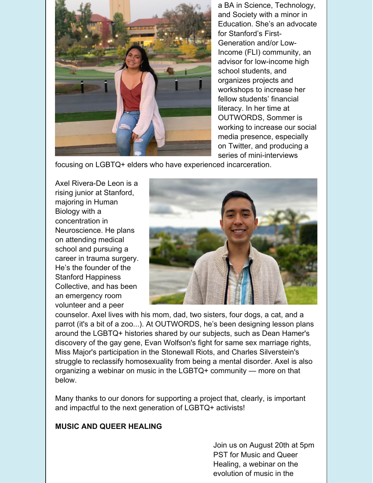

a BA in Science, Technology, and Society with a minor in Education. She's an advocate for Stanford's First-Generation and/or Low-Income (FLI) community, an advisor for low-income high school students, and organizes projects and workshops to increase her fellow students' financial literacy. In her time at OUTWORDS, Sommer is working to increase our social media presence, especially on Twitter, and producing a series of mini-interviews

focusing on LGBTQ+ elders who have experienced incarceration.

Axel Rivera-De Leon is a rising junior at Stanford, majoring in Human Biology with a concentration in Neuroscience. He plans on attending medical school and pursuing a career in trauma surgery. He's the founder of the Stanford Happiness Collective, and has been an emergency room volunteer and a peer



counselor. Axel lives with his mom, dad, two sisters, four dogs, a cat, and a parrot (it's a bit of a zoo...). At OUTWORDS, he's been designing lesson plans around the LGBTQ+ histories shared by our subjects, such as Dean Hamer's discovery of the gay gene, Evan Wolfson's fight for same sex marriage rights, Miss Major's participation in the Stonewall Riots, and Charles Silverstein's struggle to reclassify homosexuality from being a mental disorder. Axel is also organizing a webinar on music in the LGBTQ+ community — more on that below.

Many thanks to our donors for supporting a project that, clearly, is important and impactful to the next generation of LGBTQ+ activists!

## **MUSIC AND QUEER HEALING**

Join us on August 20th at 5pm PST for Music and Queer Healing, a webinar on the evolution of music in the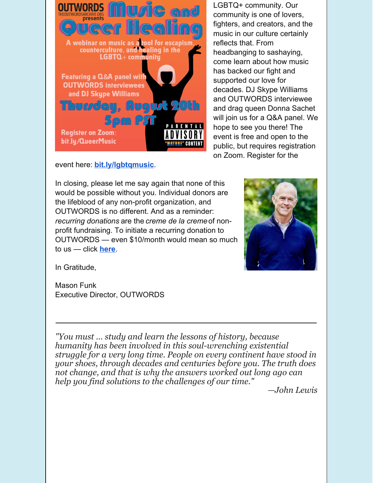

LGBTQ+ community. Our community is one of lovers, fighters, and creators, and the music in our culture certainly reflects that. From headbanging to sashaying, come learn about how music has backed our fight and supported our love for decades. DJ Skype Williams and OUTWORDS interviewee and drag queen Donna Sachet will join us for a Q&A panel. We hope to see you there! The event is free and open to the public, but requires registration on Zoom. Register for the

event here: **[bit.ly/lgbtqmusic](http://bit.ly/QueerMusic)**.

In closing, please let me say again that none of this would be possible without you. Individual donors are the lifeblood of any non-profit organization, and OUTWORDS is no different. And as a reminder: *recurring donations* are the *creme de la creme*of nonprofit fundraising. To initiate a recurring donation to OUTWORDS — even \$10/month would mean so much to us — click **[here](https://theoutwordsarchive.org/donate)**.



In Gratitude,

Mason Funk Executive Director, OUTWORDS

*"You must … study and learn the lessons of history, because humanity has been involved in this soul-wrenching existential struggle for a very long time. People on every continent have stood in your shoes, through decades and centuries before you. The truth does not change, and that is why the answers worked out long ago can help you find solutions to the challenges of our time."*

*—John Lewis*